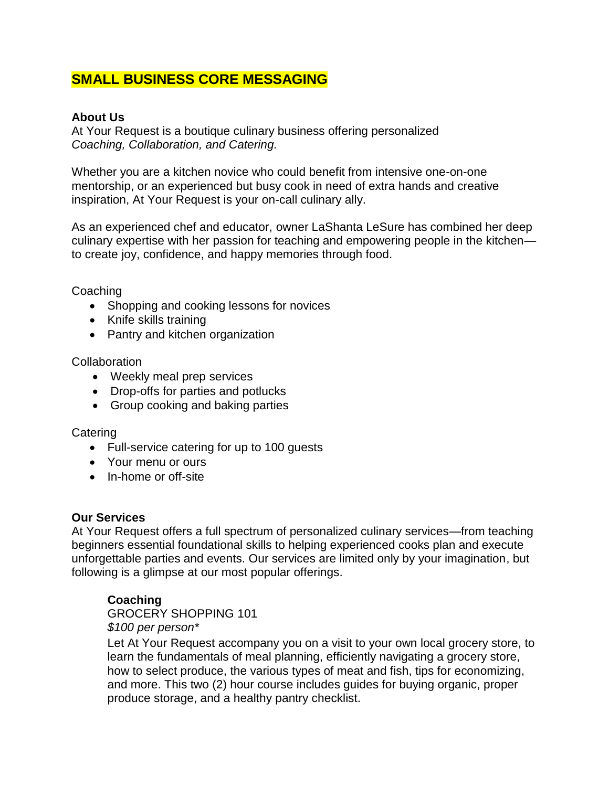# **SMALL BUSINESS CORE MESSAGING**

#### **About Us**

At Your Request is a boutique culinary business offering personalized *Coaching, Collaboration, and Catering.*

Whether you are a kitchen novice who could benefit from intensive one-on-one mentorship, or an experienced but busy cook in need of extra hands and creative inspiration, At Your Request is your on-call culinary ally.

As an experienced chef and educator, owner LaShanta LeSure has combined her deep culinary expertise with her passion for teaching and empowering people in the kitchen to create joy, confidence, and happy memories through food.

Coaching

- Shopping and cooking lessons for novices
- Knife skills training
- Pantry and kitchen organization

**Collaboration** 

- Weekly meal prep services
- Drop-offs for parties and potlucks
- Group cooking and baking parties

**Catering** 

- Full-service catering for up to 100 guests
- Your menu or ours
- In-home or off-site

#### **Our Services**

At Your Request offers a full spectrum of personalized culinary services—from teaching beginners essential foundational skills to helping experienced cooks plan and execute unforgettable parties and events. Our services are limited only by your imagination, but following is a glimpse at our most popular offerings.

# **Coaching**

GROCERY SHOPPING 101 *\$100 per person\**

Let At Your Request accompany you on a visit to your own local grocery store, to learn the fundamentals of meal planning, efficiently navigating a grocery store, how to select produce, the various types of meat and fish, tips for economizing, and more. This two (2) hour course includes guides for buying organic, proper produce storage, and a healthy pantry checklist.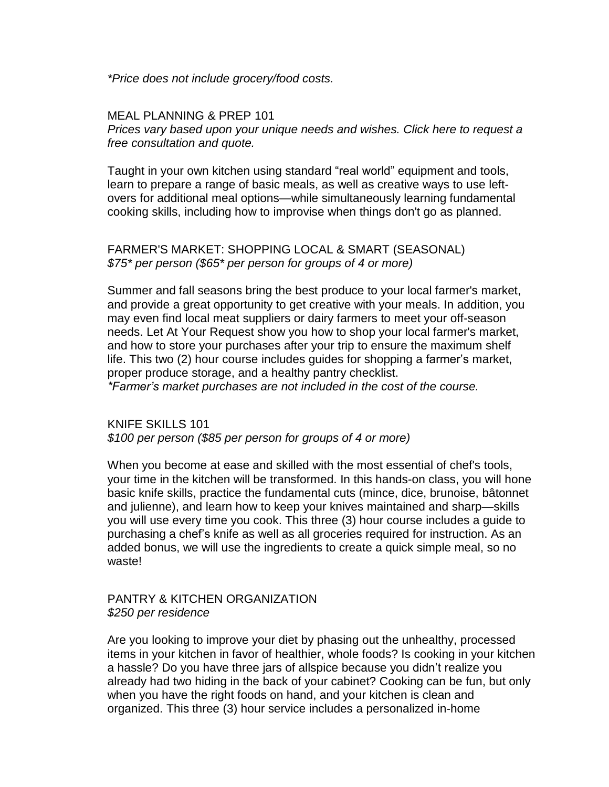*\*Price does not include grocery/food costs.*

MEAL PLANNING & PREP 10[1](https://editor.wix.com/html/editor/web/renderer/render/document/2a6c0d23-f01e-48d8-a4db-22cf24e488c1?dsOrigin=Editor1.4&editorSessionId=45756F36-70B8-4B1F-99A2-FA8E55B8BB6D&esi=45756F36-70B8-4B1F-99A2-FA8E55B8BB6D&isEdited=true&isSantaEditor=true&lang=en&metaSiteId=7f6fbe54-d21a-44b1-9a1a-1378279dd428)

*Prices vary based upon your unique needs and [wishes.](https://editor.wix.com/html/editor/web/renderer/render/document/2a6c0d23-f01e-48d8-a4db-22cf24e488c1?dsOrigin=Editor1.4&editorSessionId=45756F36-70B8-4B1F-99A2-FA8E55B8BB6D&esi=45756F36-70B8-4B1F-99A2-FA8E55B8BB6D&isEdited=true&isSantaEditor=true&lang=en&metaSiteId=7f6fbe54-d21a-44b1-9a1a-1378279dd428) Click here to request a free [consultation](https://editor.wix.com/html/editor/web/renderer/render/document/2a6c0d23-f01e-48d8-a4db-22cf24e488c1?dsOrigin=Editor1.4&editorSessionId=45756F36-70B8-4B1F-99A2-FA8E55B8BB6D&esi=45756F36-70B8-4B1F-99A2-FA8E55B8BB6D&isEdited=true&isSantaEditor=true&lang=en&metaSiteId=7f6fbe54-d21a-44b1-9a1a-1378279dd428) and quote.*

Taught in your own kitchen using standard "real world" equipment and tools, learn to prepare a range of basic meals, as well as creative ways to use leftovers for additional meal options—while simultaneously learning fundamental cooking skills, including how to improvise when things don't go as planned.

#### FARMER'S MARKET: SHOPPING LOCAL & SMART (SEASONAL) *\$75\* per person (\$65\* per person for groups of 4 or more)*

Summer and fall seasons bring the best produce to your local farmer's market, and provide a great opportunity to get creative with your meals. In addition, you may even find local meat suppliers or dairy farmers to meet your off-season needs. Let At Your Request show you how to shop your local farmer's market, and how to store your purchases after your trip to ensure the maximum shelf life. This two (2) hour course includes guides for shopping a farmer's market, proper produce storage, and a healthy pantry checklist.

*\*Farmer's market purchases are not included in the cost of the course.*

KNIFE SKILLS 101 *\$100 per person (\$85 per person for groups of 4 or more)*

When you become at ease and skilled with the most essential of chef's tools, your time in the kitchen will be transformed. In this hands-on class, you will hone basic knife skills, practice the fundamental cuts (mince, dice, brunoise, bâtonnet and julienne), and learn how to keep your knives maintained and sharp—skills you will use every time you cook. This three (3) hour course includes a guide to purchasing a chef's knife as well as all groceries required for instruction. As an added bonus, we will use the ingredients to create a quick simple meal, so no waste!

PANTRY & KITCHEN ORGANIZATION *\$250 per residence*

Are you looking to improve your diet by phasing out the unhealthy, processed items in your kitchen in favor of healthier, whole foods? Is cooking in your kitchen a hassle? Do you have three jars of allspice because you didn't realize you already had two hiding in the back of your cabinet? Cooking can be fun, but only when you have the right foods on hand, and your kitchen is clean and organized. This three (3) hour service includes a personalized in-home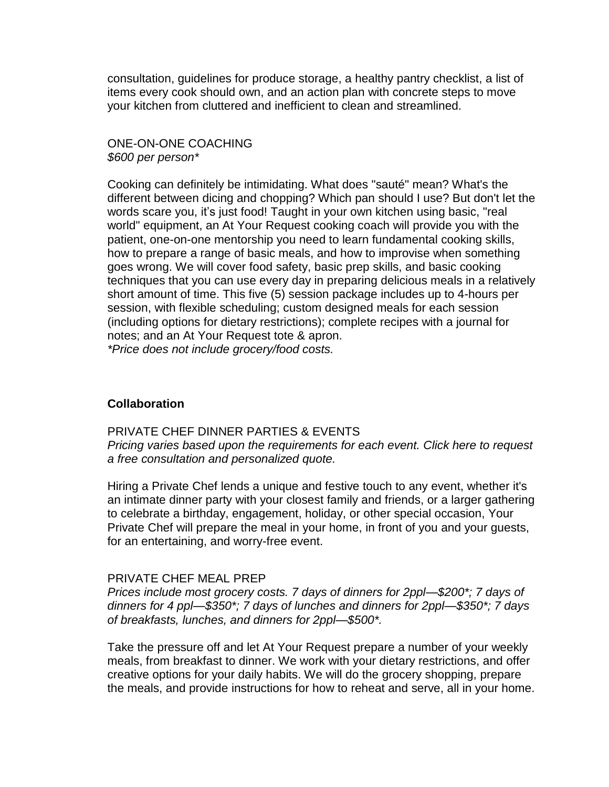consultation, guidelines for produce storage, a healthy pantry checklist, a list of items every cook should own, and an action plan with concrete steps to move your kitchen from cluttered and inefficient to clean and streamlined.

# ONE-ON-ONE COACHING *\$600 per person\**

Cooking can definitely be intimidating. What does "sauté" mean? What's the different between dicing and chopping? Which pan should I use? But don't let the words scare you, it's just food! Taught in your own kitchen using basic, "real world" equipment, an At Your Request cooking coach will provide you with the patient, one-on-one mentorship you need to learn fundamental cooking skills, how to prepare a range of basic meals, and how to improvise when something goes wrong. We will cover food safety, basic prep skills, and basic cooking techniques that you can use every day in preparing delicious meals in a relatively short amount of time. This five (5) session package includes up to 4-hours per session, with flexible scheduling; custom designed meals for each session (including options for dietary restrictions); complete recipes with a journal for notes; and an At Your Request tote & apron. *\*Price does not include grocery/food costs.* 

# **Collaboration**

PRIVATE CHEF DINNER PARTIES & EVENT[S](https://editor.wix.com/html/editor/web/renderer/render/document/2a6c0d23-f01e-48d8-a4db-22cf24e488c1?dsOrigin=Editor1.4&editorSessionId=45756F36-70B8-4B1F-99A2-FA8E55B8BB6D&esi=45756F36-70B8-4B1F-99A2-FA8E55B8BB6D&isEdited=true&isSantaEditor=true&lang=en&metaSiteId=7f6fbe54-d21a-44b1-9a1a-1378279dd428) *Pricing varies based upon the [requirements](https://editor.wix.com/html/editor/web/renderer/render/document/2a6c0d23-f01e-48d8-a4db-22cf24e488c1?dsOrigin=Editor1.4&editorSessionId=45756F36-70B8-4B1F-99A2-FA8E55B8BB6D&esi=45756F36-70B8-4B1F-99A2-FA8E55B8BB6D&isEdited=true&isSantaEditor=true&lang=en&metaSiteId=7f6fbe54-d21a-44b1-9a1a-1378279dd428) for each event. Click here to request a free consultation and [personalized](https://editor.wix.com/html/editor/web/renderer/render/document/2a6c0d23-f01e-48d8-a4db-22cf24e488c1?dsOrigin=Editor1.4&editorSessionId=45756F36-70B8-4B1F-99A2-FA8E55B8BB6D&esi=45756F36-70B8-4B1F-99A2-FA8E55B8BB6D&isEdited=true&isSantaEditor=true&lang=en&metaSiteId=7f6fbe54-d21a-44b1-9a1a-1378279dd428) quote.*

Hiring a Private Chef lends a unique and festive touch to any event, whether it's an intimate dinner party with your closest family and friends, or a larger gathering to celebrate a birthday, engagement, holiday, or other special occasion, Your Private Chef will prepare the meal in your home, in front of you and your guests, for an entertaining, and worry-free event.

# PRIVATE CHEF MEAL PREP

*Prices include most grocery costs. 7 days of dinners for 2ppl—\$200\*; 7 days of dinners for 4 ppl—\$350\*; 7 days of lunches and dinners for 2ppl—\$350\*; 7 days of breakfasts, lunches, and dinners for 2ppl—\$500\*.*

Take the pressure off and let At Your Request prepare a number of your weekly meals, from breakfast to dinner. We work with your dietary restrictions, and offer creative options for your daily habits. We will do the grocery shopping, prepare the meals, and provide instructions for how to reheat and serve, all in your home.